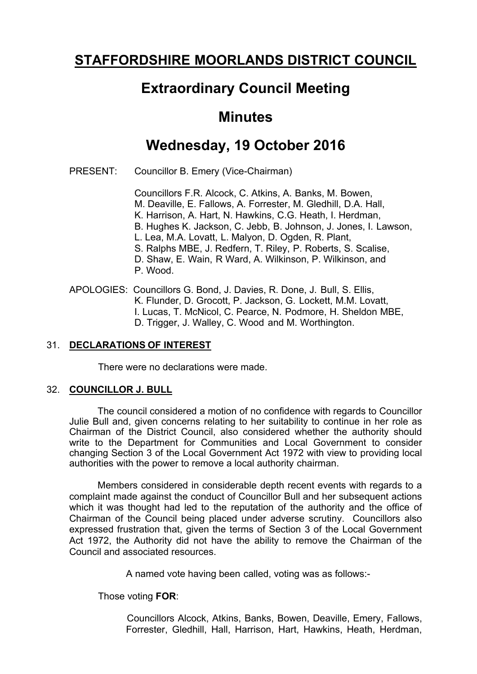## **STAFFORDSHIRE MOORLANDS DISTRICT COUNCIL**

### **Extraordinary Council Meeting**

#### **Minutes**

# **Wednesday, 19 October 2016**

PRESENT: Councillor B. Emery (Vice-Chairman)

Councillors F.R. Alcock, C. Atkins, A. Banks, M. Bowen, M. Deaville, E. Fallows, A. Forrester, M. Gledhill, D.A. Hall, K. Harrison, A. Hart, N. Hawkins, C.G. Heath, I. Herdman, B. Hughes K. Jackson, C. Jebb, B. Johnson, J. Jones, I. Lawson, L. Lea, M.A. Lovatt, L. Malyon, D. Ogden, R. Plant, S. Ralphs MBE, J. Redfern, T. Riley, P. Roberts, S. Scalise, D. Shaw, E. Wain, R Ward, A. Wilkinson, P. Wilkinson, and P. Wood.

APOLOGIES: Councillors G. Bond, J. Davies, R. Done, J. Bull, S. Ellis, K. Flunder, D. Grocott, P. Jackson, G. Lockett, M.M. Lovatt, I. Lucas, T. McNicol, C. Pearce, N. Podmore, H. Sheldon MBE, D. Trigger, J. Walley, C. Wood and M. Worthington.

#### 31. **DECLARATIONS OF INTEREST**

There were no declarations were made.

#### 32. **COUNCILLOR J. BULL**

The council considered a motion of no confidence with regards to Councillor Julie Bull and, given concerns relating to her suitability to continue in her role as Chairman of the District Council, also considered whether the authority should write to the Department for Communities and Local Government to consider changing Section 3 of the Local Government Act 1972 with view to providing local authorities with the power to remove a local authority chairman.

Members considered in considerable depth recent events with regards to a complaint made against the conduct of Councillor Bull and her subsequent actions which it was thought had led to the reputation of the authority and the office of Chairman of the Council being placed under adverse scrutiny. Councillors also expressed frustration that, given the terms of Section 3 of the Local Government Act 1972, the Authority did not have the ability to remove the Chairman of the Council and associated resources.

A named vote having been called, voting was as follows:-

Those voting **FOR**:

Councillors Alcock, Atkins, Banks, Bowen, Deaville, Emery, Fallows, Forrester, Gledhill, Hall, Harrison, Hart, Hawkins, Heath, Herdman,